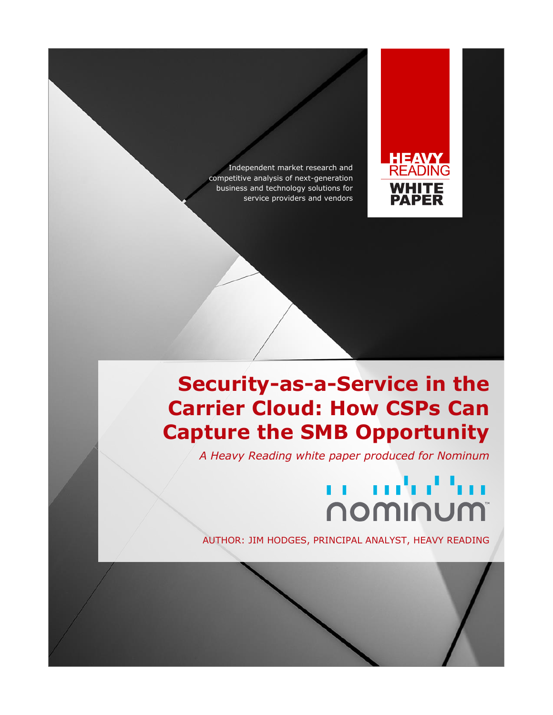Independent market research and competitive analysis of next-generation business and technology solutions for service providers and vendors



## **Security-as-a-Service in the Carrier Cloud: How CSPs Can Capture the SMB Opportunity**

*A Heavy Reading white paper produced for Nominum*

# en andret tro **NOWINUM**

AUTHOR: JIM HODGES, PRINCIPAL ANALYST, HEAVY READING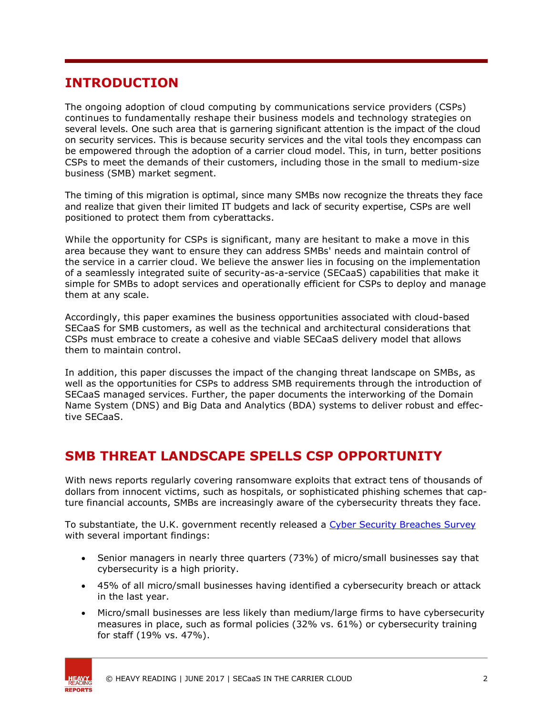#### **INTRODUCTION**

The ongoing adoption of cloud computing by communications service providers (CSPs) continues to fundamentally reshape their business models and technology strategies on several levels. One such area that is garnering significant attention is the impact of the cloud on security services. This is because security services and the vital tools they encompass can be empowered through the adoption of a carrier cloud model. This, in turn, better positions CSPs to meet the demands of their customers, including those in the small to medium-size business (SMB) market segment.

The timing of this migration is optimal, since many SMBs now recognize the threats they face and realize that given their limited IT budgets and lack of security expertise, CSPs are well positioned to protect them from cyberattacks.

While the opportunity for CSPs is significant, many are hesitant to make a move in this area because they want to ensure they can address SMBs' needs and maintain control of the service in a carrier cloud. We believe the answer lies in focusing on the implementation of a seamlessly integrated suite of security-as-a-service (SECaaS) capabilities that make it simple for SMBs to adopt services and operationally efficient for CSPs to deploy and manage them at any scale.

Accordingly, this paper examines the business opportunities associated with cloud-based SECaaS for SMB customers, as well as the technical and architectural considerations that CSPs must embrace to create a cohesive and viable SECaaS delivery model that allows them to maintain control.

In addition, this paper discusses the impact of the changing threat landscape on SMBs, as well as the opportunities for CSPs to address SMB requirements through the introduction of SECaaS managed services. Further, the paper documents the interworking of the Domain Name System (DNS) and Big Data and Analytics (BDA) systems to deliver robust and effective SECaaS.

### **SMB THREAT LANDSCAPE SPELLS CSP OPPORTUNITY**

With news reports regularly covering ransomware exploits that extract tens of thousands of dollars from innocent victims, such as hospitals, or sophisticated phishing schemes that capture financial accounts, SMBs are increasingly aware of the cybersecurity threats they face.

To substantiate, the U.K. government recently released a [Cyber Security Breaches Survey](https://www.gov.uk/government/statistics/cyber-security-breaches-survey-2017) with several important findings:

- **•** Senior managers in nearly three quarters (73%) of micro/small businesses say that cybersecurity is a high priority.
- 45% of all micro/small businesses having identified a cybersecurity breach or attack in the last year.
- Micro/small businesses are less likely than medium/large firms to have cybersecurity measures in place, such as formal policies (32% vs. 61%) or cybersecurity training for staff (19% vs. 47%).

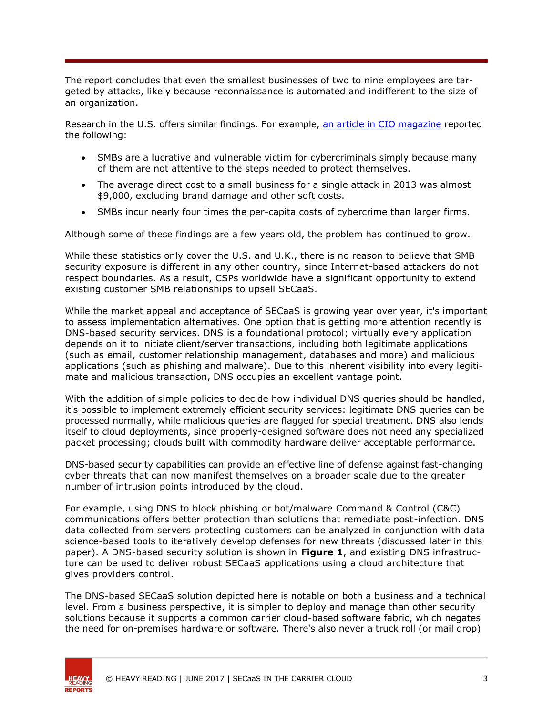The report concludes that even the smallest businesses of two to nine employees are targeted by attacks, likely because reconnaissance is automated and indifferent to the size of an organization.

Research in the U.S. offers similar findings. For example, [an article in CIO magazine](http://www.cio.com/article/2908864/security0/5-costly-consequences-of-smb-cybercrime.html) reported the following:

- SMBs are a lucrative and vulnerable victim for cybercriminals simply because many of them are not attentive to the steps needed to protect themselves.
- The average direct cost to a small business for a single attack in 2013 was almost \$9,000, excluding brand damage and other soft costs.
- SMBs incur nearly four times the per-capita costs of cybercrime than larger firms.

Although some of these findings are a few years old, the problem has continued to grow.

While these statistics only cover the U.S. and U.K., there is no reason to believe that SMB security exposure is different in any other country, since Internet-based attackers do not respect boundaries. As a result, CSPs worldwide have a significant opportunity to extend existing customer SMB relationships to upsell SECaaS.

While the market appeal and acceptance of SECaaS is growing year over year, it's important to assess implementation alternatives. One option that is getting more attention recently is DNS-based security services. DNS is a foundational protocol; virtually every application depends on it to initiate client/server transactions, including both legitimate applications (such as email, customer relationship management, databases and more) and malicious applications (such as phishing and malware). Due to this inherent visibility into every legitimate and malicious transaction, DNS occupies an excellent vantage point.

With the addition of simple policies to decide how individual DNS queries should be handled, it's possible to implement extremely efficient security services: legitimate DNS queries can be processed normally, while malicious queries are flagged for special treatment. DNS also lends itself to cloud deployments, since properly-designed software does not need any specialized packet processing; clouds built with commodity hardware deliver acceptable performance.

DNS-based security capabilities can provide an effective line of defense against fast-changing cyber threats that can now manifest themselves on a broader scale due to the greater number of intrusion points introduced by the cloud.

For example, using DNS to block phishing or bot/malware Command & Control (C&C) communications offers better protection than solutions that remediate post-infection. DNS data collected from servers protecting customers can be analyzed in conjunction with data science-based tools to iteratively develop defenses for new threats (discussed later in this paper). A DNS-based security solution is shown in **Figure 1**, and existing DNS infrastructure can be used to deliver robust SECaaS applications using a cloud architecture that gives providers control.

The DNS-based SECaaS solution depicted here is notable on both a business and a technical level. From a business perspective, it is simpler to deploy and manage than other security solutions because it supports a common carrier cloud-based software fabric, which negates the need for on-premises hardware or software. There's also never a truck roll (or mail drop)



© HEAVY READING | JUNE 2017 | SECaaS IN THE CARRIER CLOUD 3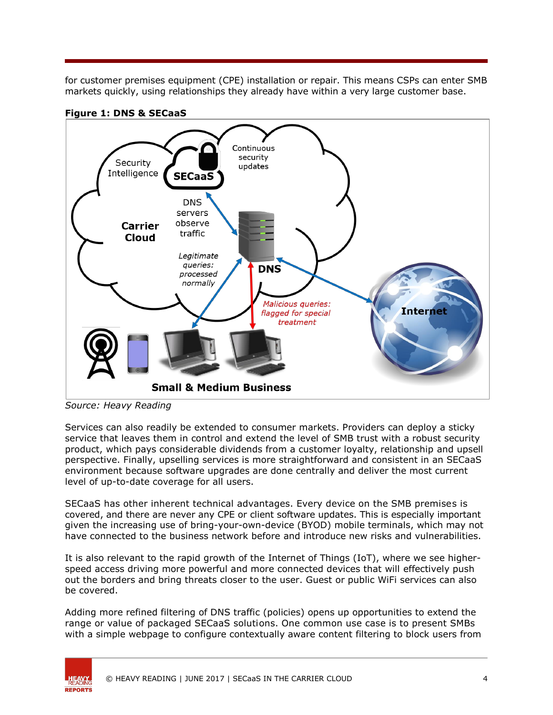for customer premises equipment (CPE) installation or repair. This means CSPs can enter SMB markets quickly, using relationships they already have within a very large customer base.



**Figure 1: DNS & SECaaS**

*Source: Heavy Reading*

Services can also readily be extended to consumer markets. Providers can deploy a sticky service that leaves them in control and extend the level of SMB trust with a robust security product, which pays considerable dividends from a customer loyalty, relationship and upsell perspective. Finally, upselling services is more straightforward and consistent in an SECaaS environment because software upgrades are done centrally and deliver the most current level of up-to-date coverage for all users.

SECaaS has other inherent technical advantages. Every device on the SMB premises is covered, and there are never any CPE or client software updates. This is especially important given the increasing use of bring-your-own-device (BYOD) mobile terminals, which may not have connected to the business network before and introduce new risks and vulnerabilities.

It is also relevant to the rapid growth of the Internet of Things (IoT), where we see higherspeed access driving more powerful and more connected devices that will effectively push out the borders and bring threats closer to the user. Guest or public WiFi services can also be covered.

Adding more refined filtering of DNS traffic (policies) opens up opportunities to extend the range or value of packaged SECaaS solutions. One common use case is to present SMBs with a simple webpage to configure contextually aware content filtering to block users from

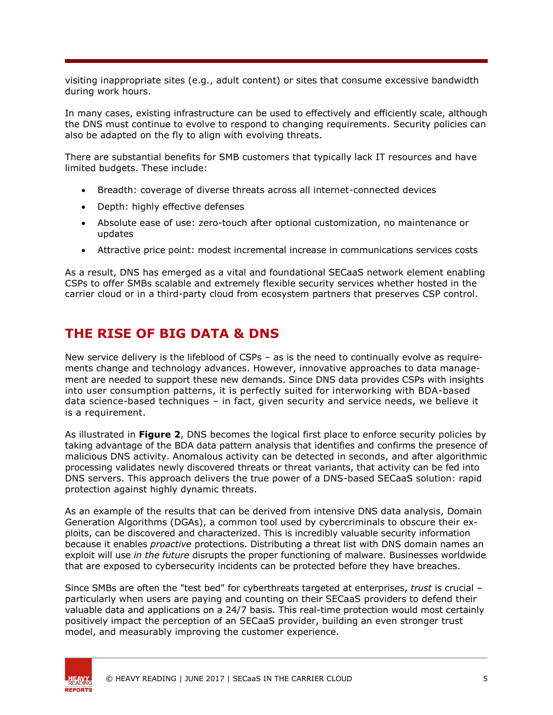visiting inappropriate sites (e.g., adult content) or sites that consume excessive bandwidth during work hours.

In many cases, existing infrastructure can be used to effectively and efficiently scale, although the DNS must continue to evolve to respond to changing requirements. Security policies can also be adapted on the fly to align with evolving threats.

There are substantial benefits for SMB customers that typically lack IT resources and have limited budgets. These include:

- Breadth: coverage of diverse threats across all internet-connected devices
- Depth: highly effective defenses
- Absolute ease of use: zero-touch after optional customization, no maintenance or updates
- Attractive price point: modest incremental increase in communications services costs

As a result, DNS has emerged as a vital and foundational SECaaS network element enabling CSPs to offer SMBs scalable and extremely flexible security services whether hosted in the carrier cloud or in a third-party cloud from ecosystem partners that preserves CSP control.

#### **THE RISE OF BIG DATA & DNS**

New service delivery is the lifeblood of CSPs – as is the need to continually evolve as requirements change and technology advances. However, innovative approaches to data management are needed to support these new demands. Since DNS data provides CSPs with insights into user consumption patterns, it is perfectly suited for interworking with BDA-based data science-based techniques – in fact, given security and service needs, we believe it is a requirement.

As illustrated in **Figure 2**, DNS becomes the logical first place to enforce security policies by taking advantage of the BDA data pattern analysis that identifies and confirms the presence of malicious DNS activity. Anomalous activity can be detected in seconds, and after algorithmic processing validates newly discovered threats or threat variants, that activity can be fed into DNS servers. This approach delivers the true power of a DNS-based SECaaS solution: rapid protection against highly dynamic threats.

As an example of the results that can be derived from intensive DNS data analysis, Domain Generation Algorithms (DGAs), a common tool used by cybercriminals to obscure their exploits, can be discovered and characterized. This is incredibly valuable security information because it enables *proactive* protections. Distributing a threat list with DNS domain names an exploit will use *in the future* disrupts the proper functioning of malware. Businesses worldwide that are exposed to cybersecurity incidents can be protected before they have breaches.

Since SMBs are often the "test bed" for cyberthreats targeted at enterprises, *trust* is crucial – particularly when users are paying and counting on their SECaaS providers to defend their valuable data and applications on a 24/7 basis. This real-time protection would most certainly positively impact the perception of an SECaaS provider, building an even stronger trust model, and measurably improving the customer experience.



© HEAVY READING | JUNE 2017 | SECaaS IN THE CARRIER CLOUD 5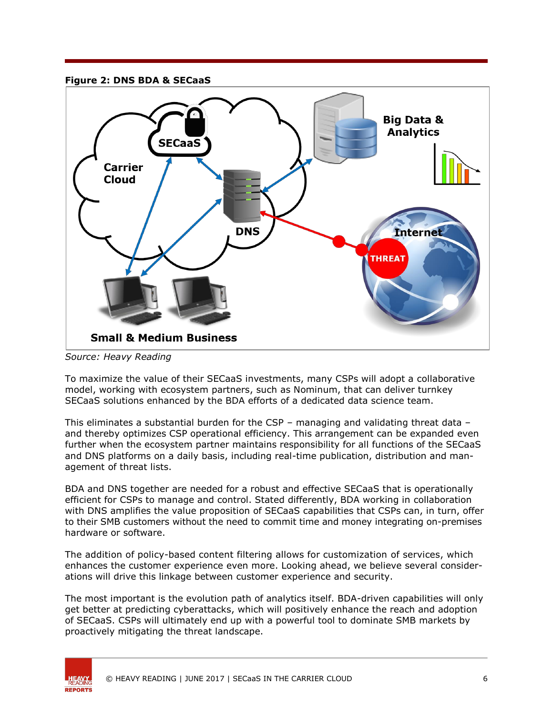#### **Figure 2: DNS BDA & SECaaS**



*Source: Heavy Reading*

To maximize the value of their SECaaS investments, many CSPs will adopt a collaborative model, working with ecosystem partners, such as Nominum, that can deliver turnkey SECaaS solutions enhanced by the BDA efforts of a dedicated data science team.

This eliminates a substantial burden for the CSP – managing and validating threat data – and thereby optimizes CSP operational efficiency. This arrangement can be expanded even further when the ecosystem partner maintains responsibility for all functions of the SECaaS and DNS platforms on a daily basis, including real-time publication, distribution and management of threat lists.

BDA and DNS together are needed for a robust and effective SECaaS that is operationally efficient for CSPs to manage and control. Stated differently, BDA working in collaboration with DNS amplifies the value proposition of SECaaS capabilities that CSPs can, in turn, offer to their SMB customers without the need to commit time and money integrating on-premises hardware or software.

The addition of policy-based content filtering allows for customization of services, which enhances the customer experience even more. Looking ahead, we believe several considerations will drive this linkage between customer experience and security.

The most important is the evolution path of analytics itself. BDA-driven capabilities will only get better at predicting cyberattacks, which will positively enhance the reach and adoption of SECaaS. CSPs will ultimately end up with a powerful tool to dominate SMB markets by proactively mitigating the threat landscape.



© HEAVY READING | JUNE 2017 | SECaaS IN THE CARRIER CLOUD 6